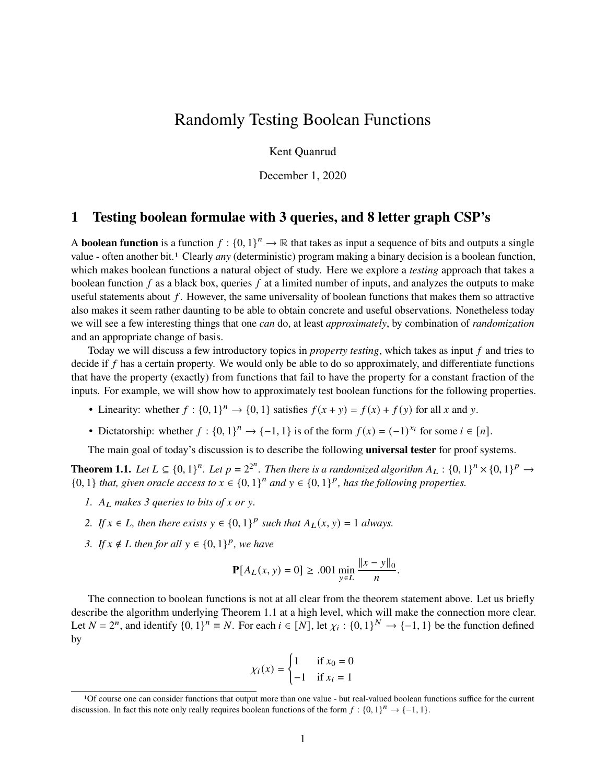# <span id="page-0-1"></span>Randomly Testing Boolean Functions

Kent Quanrud

December 1, 2020

# <span id="page-0-2"></span>**1 Testing boolean formulae with 3 queries, and 8 letter graph CSP's**

A **boolean function** is a function  $f: \{0, 1\}^n \to \mathbb{R}$  that takes as input a sequence of bits and outputs a single value - often another bit.<sup>1</sup> Clearly *any* (deterministic) program making a binary decision is a boolean function, which makes boolean functions a natural object of study. Here we explore a *testing* approach that takes a boolean function  $f$  as a black box, queries  $f$  at a limited number of inputs, and analyzes the outputs to make useful statements about  $f$ . However, the same universality of boolean functions that makes them so attractive also makes it seem rather daunting to be able to obtain concrete and useful observations. Nonetheless today we will see a few interesting things that one *can* do, at least *approximately*, by combination of *randomization* and an appropriate change of basis.

Today we will discuss a few introductory topics in *property testing*, which takes as input f and tries to decide if  $f$  has a certain property. We would only be able to do so approximately, and differentiate functions that have the property (exactly) from functions that fail to have the property for a constant fraction of the inputs. For example, we will show how to approximately test boolean functions for the following properties.

- Linearity: whether  $f: \{0, 1\}^n \to \{0, 1\}$  satisfies  $f(x + y) = f(x) + f(y)$  for all x and y.
- Dictatorship: whether  $f: \{0, 1\}^n \to \{-1, 1\}$  is of the form  $f(x) = (-1)^{x_i}$  for some  $i \in [n]$ .

The main goal of today's discussion is to describe the following **universal tester** for proof systems.

<span id="page-0-0"></span>**Theorem 1.1.** Let  $L \subseteq \{0,1\}^n$ . Let  $p = 2^{2^n}$ . Then there is a randomized algorithm  $A_L : \{0,1\}^n \times \{0,1\}^p \to$ {0, 1} *that, given oracle access to*  $x \in \{0, 1\}^n$  *and*  $y \in \{0, 1\}^p$ *, has the following properties.* 

- *1.*  $A_L$  makes 3 queries to bits of x or y.
- 2. If  $x \in L$ , then there exists  $y \in \{0,1\}^p$  such that  $A_L(x, y) = 1$  always.
- 3. If  $x \notin L$  then for all  $y \in \{0, 1\}^p$ , we have

$$
\mathbf{P}[A_L(x, y) = 0] \ge .001 \min_{y \in L} \frac{\|x - y\|_0}{n}.
$$

The connection to boolean functions is not at all clear from the theorem statement above. Let us briefly describe the algorithm underlying [Theorem 1.1](#page-0-0) at a high level, which will make the connection more clear. Let  $N = 2^n$ , and identify  $\{0, 1\}^n \equiv N$ . For each  $i \in [N]$ , let  $\chi_i : \{0, 1\}^N \to \{-1, 1\}$  be the function defined by

$$
\chi_i(x) = \begin{cases} 1 & \text{if } x_0 = 0 \\ -1 & \text{if } x_i = 1 \end{cases}
$$

<sup>1</sup>Of course one can consider functions that output more than one value - but real-valued boolean functions suffice for the current discussion. In fact this note only really requires boolean functions of the form  $f: \{0,1\}^n \rightarrow \{-1,1\}$ .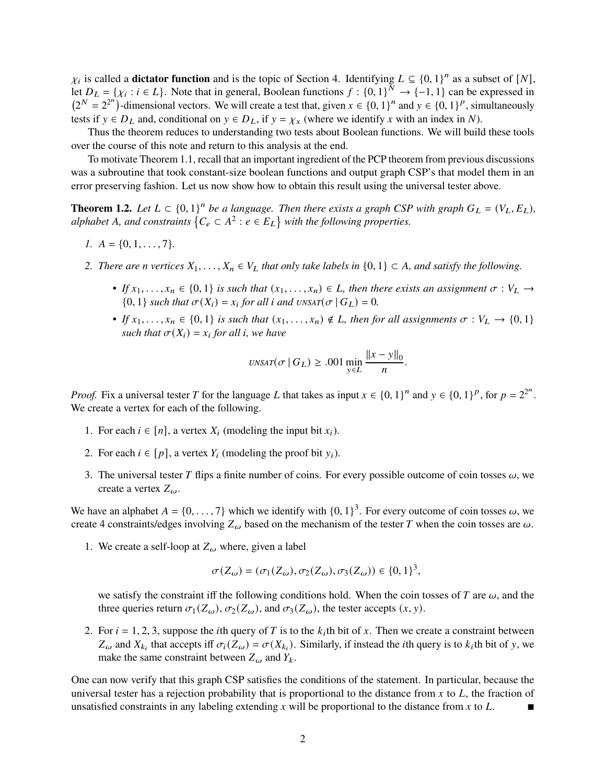$\chi_i$  is called a **dictator function** and is the topic of [Section 4.](#page-5-0) Identifying  $L \subseteq \{0, 1\}^n$  as a subset of  $[N]$ , let  $D_L = \{ \chi_i : i \in L \}$ . Note that in general, Boolean functions  $f : \{0,1\}^N \to \{-1,1\}$  can be expressed in  $(2^N - 2^{2^n})$ -dimensional vectors. We will create a test that, given  $x \in \{0, 1\}^n$  and  $y \in \{0, 1\}^p$ , simultaneously tests if  $y \in D_L$  and, conditional on  $y \in D_L$ , if  $y = \chi_x$  (where we identify x with an index in N).

Thus the theorem reduces to understanding two tests about Boolean functions. We will build these tools over the course of this note and return to this analysis at the end.

To motivate [Theorem 1.1,](#page-0-0) recall that an important ingredient of the PCP theorem from previous discussions was a subroutine that took constant-size boolean functions and output graph CSP's that model them in an error preserving fashion. Let us now show how to obtain this result using the universal tester above.

**Theorem 1.2.** Let  $L \subset \{0,1\}^n$  be a language. Then there exists a graph CSP with graph  $G_L = (V_L, E_L)$ , *alphabet* A, and constraints  $\{C_e \subset A^2 : e \in E_L\}$  with the following properties.

- *1.*  $A = \{0, 1, \ldots, 7\}.$
- 2. *There are n vertices*  $X_1, \ldots, X_n \in V_L$  *that only take labels in*  $\{0, 1\} \subset A$ *, and satisfy the following.* 
	- *If*  $x_1, \ldots, x_n \in \{0, 1\}$  *is such that*  $(x_1, \ldots, x_n) \in L$ , then there exists an assignment  $\sigma : V_L \to$  ${0, 1}$  *such that*  $\sigma(X_i) = x_i$  *for all i and*  $\text{UNSAT}(\sigma | G_L) = 0$ *.*
	- *If*  $x_1, \ldots, x_n \in \{0, 1\}$  *is such that*  $(x_1, \ldots, x_n) \notin L$ , then for all assignments  $\sigma : V_L \to \{0, 1\}$ *such that*  $\sigma(X_i) = x_i$  *for all i, we have*

$$
UNSAT(\sigma \mid G_L) \geq .001 \min_{y \in L} \frac{\|x - y\|_0}{n}.
$$

*Proof.* Fix a universal tester T for the language L that takes as input  $x \in \{0, 1\}^n$  and  $y \in \{0, 1\}^p$ , for  $p = 2^{2^n}$ . We create a vertex for each of the following.

- 1. For each  $i \in [n]$ , a vertex  $X_i$  (modeling the input bit  $x_i$ ).
- 2. For each  $i \in [p]$ , a vertex  $Y_i$  (modeling the proof bit  $y_i$ ).
- 3. The universal tester T flips a finite number of coins. For every possible outcome of coin tosses  $\omega$ , we create a vertex  $Z_{\omega}$ .

We have an alphabet  $A = \{0, \ldots, 7\}$  which we identify with  $\{0, 1\}^3$ . For every outcome of coin tosses  $\omega$ , we create 4 constraints/edges involving  $Z_\omega$  based on the mechanism of the tester T when the coin tosses are  $\omega$ .

1. We create a self-loop at  $Z_{\omega}$  where, given a label

$$
\sigma(Z_{\omega}) = (\sigma_1(Z_{\omega}), \sigma_2(Z_{\omega}), \sigma_3(Z_{\omega})) \in \{0, 1\}^3,
$$

we satisfy the constraint iff the following conditions hold. When the coin tosses of T are  $\omega$ , and the three queries return  $\sigma_1(Z_\omega)$ ,  $\sigma_2(Z_\omega)$ , and  $\sigma_3(Z_\omega)$ , the tester accepts  $(x, y)$ .

2. For  $i = 1, 2, 3$ , suppose the *i*th query of T is to the  $k_i$ th bit of x. Then we create a constraint between  $Z_{\omega}$  and  $X_{k_i}$  that accepts iff  $\sigma_i(Z_{\omega}) = \sigma(X_{k_i})$ . Similarly, if instead the *i*th query is to  $k_i$ th bit of y, we make the same constraint between  $Z_{\omega}$  and  $Y_{k}$ .

One can now verify that this graph CSP satisfies the conditions of the statement. In particular, because the universal tester has a rejection probability that is proportional to the distance from  $x$  to  $L$ , the fraction of unsatisfied constraints in any labeling extending  $x$  will be proportional to the distance from  $x$  to  $L$ .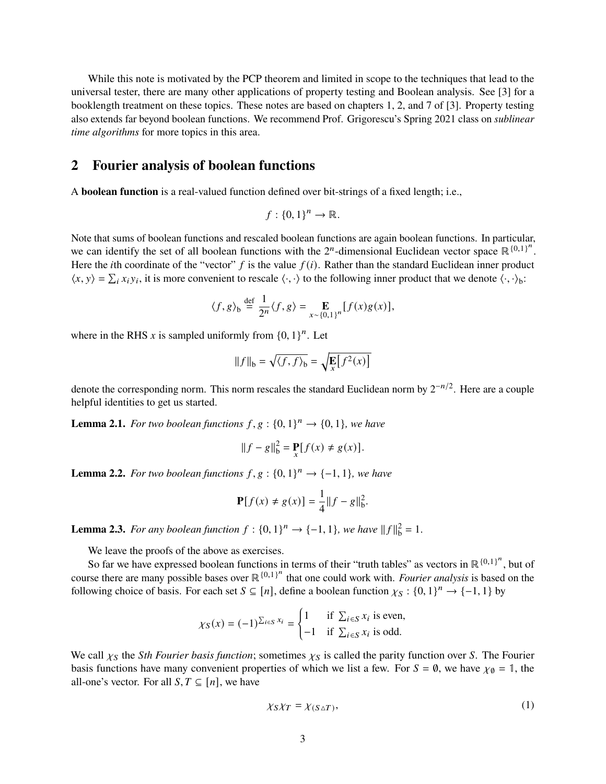While this note is motivated by the PCP theorem and limited in scope to the techniques that lead to the universal tester, there are many other applications of property testing and Boolean analysis. See [\[3\]](#page-10-0) for a booklength treatment on these topics. These notes are based on chapters 1, 2, and 7 of [\[3\]](#page-10-0). Property testing also extends far beyond boolean functions. We recommend Prof. Grigorescu's Spring 2021 class on *sublinear time algorithms* for more topics in this area.

## **2 Fourier analysis of boolean functions**

A **boolean function** is a real-valued function defined over bit-strings of a fixed length; i.e.,

$$
f: \{0,1\}^n \to \mathbb{R}.
$$

Note that sums of boolean functions and rescaled boolean functions are again boolean functions. In particular, we can identify the set of all boolean functions with the  $2^n$ -dimensional Euclidean vector space  $\mathbb{R}^{\{0,1\}^n}$ . Here the *i*th coordinate of the "vector"  $f$  is the value  $f(i)$ . Rather than the standard Euclidean inner product  $\langle x, y \rangle = \sum_i x_i y_i$ , it is more convenient to rescale  $\langle \cdot, \cdot \rangle$  to the following inner product that we denote  $\langle \cdot, \cdot \rangle$ <sub>b</sub>:

$$
\langle f, g \rangle_{\text{b}} \stackrel{\text{def}}{=} \frac{1}{2^n} \langle f, g \rangle = \mathop{\mathbb{E}}_{x \sim \{0,1\}^n} [f(x)g(x)],
$$

where in the RHS x is sampled uniformly from  ${0, 1}^n$ . Let

$$
||f||_{b} = \sqrt{\langle f, f \rangle_{b}} = \sqrt{\mathbf{E}[f^{2}(x)]}
$$

denote the corresponding norm. This norm rescales the standard Euclidean norm by  $2^{-n/2}$ . Here are a couple helpful identities to get us started.

**Lemma 2.1.** For two boolean functions  $f, g: \{0, 1\}^n \rightarrow \{0, 1\}$ , we have

$$
||f - g||_{b}^{2} = \mathbf{P}_{x}[f(x) \neq g(x)].
$$

<span id="page-2-1"></span>**Lemma 2.2.** For two boolean functions  $f, g: \{0, 1\}^n \rightarrow \{-1, 1\}$ , we have

$$
\mathbf{P}[f(x) \neq g(x)] = \frac{1}{4} ||f - g||_b^2.
$$

<span id="page-2-0"></span>**Lemma 2.3.** For any boolean function  $f: \{0, 1\}^n \rightarrow \{-1, 1\}$ , we have  $||f||_b^2 = 1$ .

We leave the proofs of the above as exercises.

So far we have expressed boolean functions in terms of their "truth tables" as vectors in  $\mathbb{R}^{\{0,1\}^n}$ , but of course there are many possible bases over ℝ<sup>{0,1}</sup><sup>n</sup> that one could work with. *Fourier analysis* is based on the following choice of basis. For each set  $S \subseteq [n]$ , define a boolean function  $\chi_S : \{0,1\}^n \to \{-1,1\}$  by

$$
\chi_S(x) = (-1)^{\sum_{i \in S} x_i} = \begin{cases} 1 & \text{if } \sum_{i \in S} x_i \text{ is even,} \\ -1 & \text{if } \sum_{i \in S} x_i \text{ is odd.} \end{cases}
$$

We call  $\chi_S$  the *Sth Fourier basis function*; sometimes  $\chi_S$  is called the parity function over *S*. The Fourier basis functions have many convenient properties of which we list a few. For  $S = \emptyset$ , we have  $\chi_{\emptyset} = \mathbb{1}$ , the all-one's vector. For all  $S, T \subseteq [n]$ , we have

$$
\chi_S \chi_T = \chi_{(S \triangle T)},\tag{1}
$$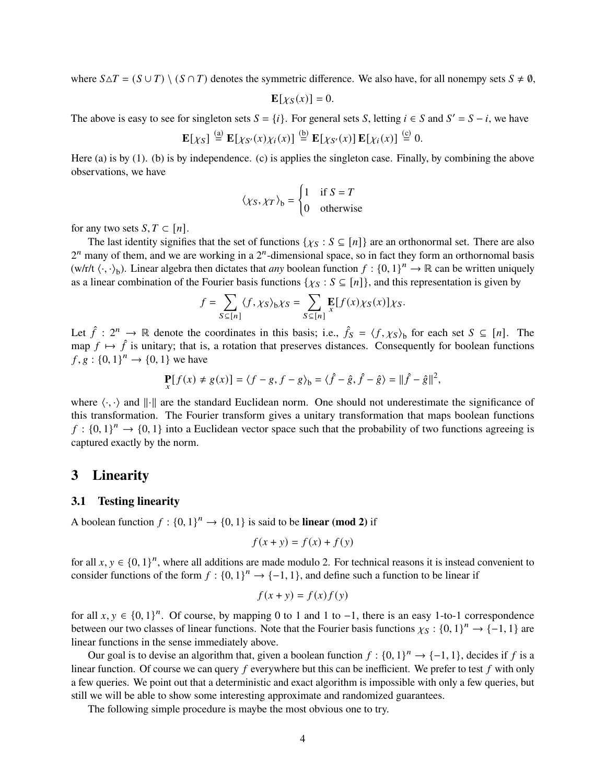where  $S \Delta T = (S \cup T) \setminus (S \cap T)$  denotes the symmetric difference. We also have, for all nonempy sets  $S \neq \emptyset$ ,

$$
\mathbf{E}[\chi_{S}(x)] = 0.
$$

The above is easy to see for singleton sets  $S = \{i\}$ . For general sets S, letting  $i \in S$  and  $S' = S - i$ , we have

$$
\mathbf{E}[\chi_S] \stackrel{\text{(a)}}{=} \mathbf{E}[\chi_{S'}(x)\chi_i(x)] \stackrel{\text{(b)}}{=} \mathbf{E}[\chi_{S'}(x)] \mathbf{E}[\chi_i(x)] \stackrel{\text{(c)}}{=} 0.
$$

Here (a) is by [\(1\).](#page-2-0) (b) is by independence. (c) is applies the singleton case. Finally, by combining the above observations, we have

$$
\langle \chi_S, \chi_T \rangle_b = \begin{cases} 1 & \text{if } S = T \\ 0 & \text{otherwise} \end{cases}
$$

for any two sets  $S, T \subset [n]$ .

The last identity signifies that the set of functions { $\chi_S : S \subseteq [n]$ } are an orthonormal set. There are also  $2^n$  many of them, and we are working in a  $2^n$ -dimensional space, so in fact they form an orthornomal basis  $(w/r/t \langle \cdot, \cdot \rangle_b)$ . Linear algebra then dictates that *any* boolean function  $f : \{0, 1\}^n \to \mathbb{R}$  can be written uniquely as a linear combination of the Fourier basis functions { $\chi_S : S \subseteq [n]$ }, and this representation is given by

$$
f = \sum_{S \subseteq [n]} \langle f, \chi_S \rangle_b \chi_S = \sum_{S \subseteq [n]} \mathbf{E}[f(x) \chi_S(x)] \chi_S.
$$

Let  $\hat{f}: 2^n \to \mathbb{R}$  denote the coordinates in this basis; i.e.,  $\hat{f}_S = \langle f, \chi_S \rangle$  for each set  $S \subseteq [n]$ . The map  $f \mapsto \hat{f}$  is unitary; that is, a rotation that preserves distances. Consequently for boolean functions  $f, g : \{0, 1\}^n \to \{0, 1\}$  we have

$$
\mathbf{P}_{x}[f(x) \neq g(x)] = \langle f - g, f - g \rangle_{b} = \langle \hat{f} - \hat{g}, \hat{f} - \hat{g} \rangle = ||\hat{f} - \hat{g}||^{2},
$$

where  $\langle \cdot, \cdot \rangle$  and  $\| \cdot \|$  are the standard Euclidean norm. One should not underestimate the significance of this transformation. The Fourier transform gives a unitary transformation that maps boolean functions  $f : \{0,1\}^n \to \{0,1\}$  into a Euclidean vector space such that the probability of two functions agreeing is captured exactly by the norm.

## **3 Linearity**

### **3.1 Testing linearity**

A boolean function  $f: \{0, 1\}^n \to \{0, 1\}$  is said to be **linear (mod 2)** if

$$
f(x + y) = f(x) + f(y)
$$

for all  $x, y \in \{0, 1\}^n$ , where all additions are made modulo 2. For technical reasons it is instead convenient to consider functions of the form  $f: \{0, 1\}^n \to \{-1, 1\}$ , and define such a function to be linear if

$$
f(x + y) = f(x)f(y)
$$

for all  $x, y \in \{0, 1\}^n$ . Of course, by mapping 0 to 1 and 1 to -1, there is an easy 1-to-1 correspondence between our two classes of linear functions. Note that the Fourier basis functions  $\chi_{S} : \{0, 1\}^n \to \{-1, 1\}$  are linear functions in the sense immediately above.

Our goal is to devise an algorithm that, given a boolean function  $f: \{0, 1\}^n \to \{-1, 1\}$ , decides if f is a linear function. Of course we can query  $f$  everywhere but this can be inefficient. We prefer to test  $f$  with only a few queries. We point out that a deterministic and exact algorithm is impossible with only a few queries, but still we will be able to show some interesting approximate and randomized guarantees.

The following simple procedure is maybe the most obvious one to try.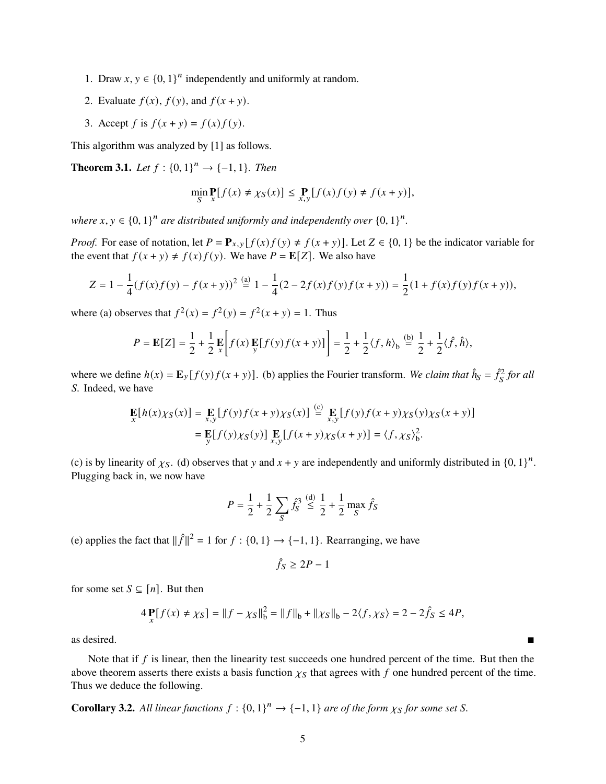- 1. Draw  $x, y \in \{0, 1\}^n$  independently and uniformly at random.
- 2. Evaluate  $f(x)$ ,  $f(y)$ , and  $f(x + y)$ .
- 3. Accept f is  $f(x + y) = f(x) f(y)$ .

This algorithm was analyzed by [\[1\]](#page-10-1) as follows.

<span id="page-4-0"></span>**Theorem 3.1.** *Let*  $f : \{0, 1\}^n \to \{-1, 1\}$ *. Then* 

$$
\min_{S} \mathbf{P}[f(x) \neq \chi_{S}(x)] \leq \mathbf{P}\int_{x,y} [f(x)f(y) \neq f(x+y)],
$$

where  $x, y \in \{0, 1\}^n$  are distributed uniformly and independently over  $\{0, 1\}^n$ .

*Proof.* For ease of notation, let  $P = \mathbf{P}_{x,y} [f(x)f(y) \neq f(x+y)]$ . Let  $Z \in \{0,1\}$  be the indicator variable for the event that  $f(x + y) \neq f(x) f(y)$ . We have  $P = \mathbb{E}[Z]$ . We also have

$$
Z = 1 - \frac{1}{4}(f(x)f(y) - f(x+y))^2 \stackrel{\text{(a)}}{=} 1 - \frac{1}{4}(2 - 2f(x)f(y)f(x+y)) = \frac{1}{2}(1 + f(x)f(y)f(x+y)),
$$

where (a) observes that  $f^2(x) = f^2(y) = f^2(x + y) = 1$ . Thus

$$
P = \mathbf{E}[Z] = \frac{1}{2} + \frac{1}{2} \mathbf{E} \left[ f(x) \mathbf{E} [f(y) f(x+y)] \right] = \frac{1}{2} + \frac{1}{2} \langle f, h \rangle_b \stackrel{\text{(b)}}{=} \frac{1}{2} + \frac{1}{2} \langle f, \hat{h} \rangle,
$$

where we define  $h(x) = \mathbf{E}_y[f(y)f(x+y)]$ . (b) applies the Fourier transform. *We claim that*  $\hat{h}_s = \hat{f}_s^2$  *for all* S. Indeed, we have

$$
\mathbf{E}[h(x)\chi_{S}(x)] = \mathbf{E}[f(y)f(x+y)\chi_{S}(x)] \stackrel{\text{(c)}}{=} \mathbf{E}[f(y)f(x+y)\chi_{S}(y)\chi_{S}(x+y)]
$$
  
= 
$$
\mathbf{E}[f(y)\chi_{S}(y)] \mathbf{E}[f(x+y)\chi_{S}(x+y)] = \langle f, \chi_{S} \rangle_{b}^{2}.
$$

(c) is by linearity of  $\chi$ <sub>S</sub>. (d) observes that y and  $x + y$  are independently and uniformly distributed in  $\{0, 1\}^n$ . Plugging back in, we now have

$$
P = \frac{1}{2} + \frac{1}{2} \sum_{S} \hat{f}_{S}^{3} \stackrel{\text{(d)}}{\leq} \frac{1}{2} + \frac{1}{2} \max_{S} \hat{f}_{S}
$$

(e) applies the fact that  $\|\hat{f}\|^2 = 1$  for  $f : \{0, 1\} \rightarrow \{-1, 1\}$ . Rearranging, we have

$$
\hat{f}_S \ge 2P - 1
$$

for some set  $S \subseteq [n]$ . But then

$$
4\mathbf{P}{f(x) \neq \chi_S} = ||f - \chi_S||_b^2 = ||f||_b + ||\chi_S||_b - 2\langle f, \chi_S \rangle = 2 - 2\hat{f}_S \leq 4P,
$$

as desired.

Note that if  $f$  is linear, then the linearity test succeeds one hundred percent of the time. But then the above theorem asserts there exists a basis function  $\chi_{\rm S}$  that agrees with f one hundred percent of the time. Thus we deduce the following.

**Corollary 3.2.** All linear functions  $f: \{0, 1\}^n \to \{-1, 1\}$  are of the form  $\chi_S$  for some set S.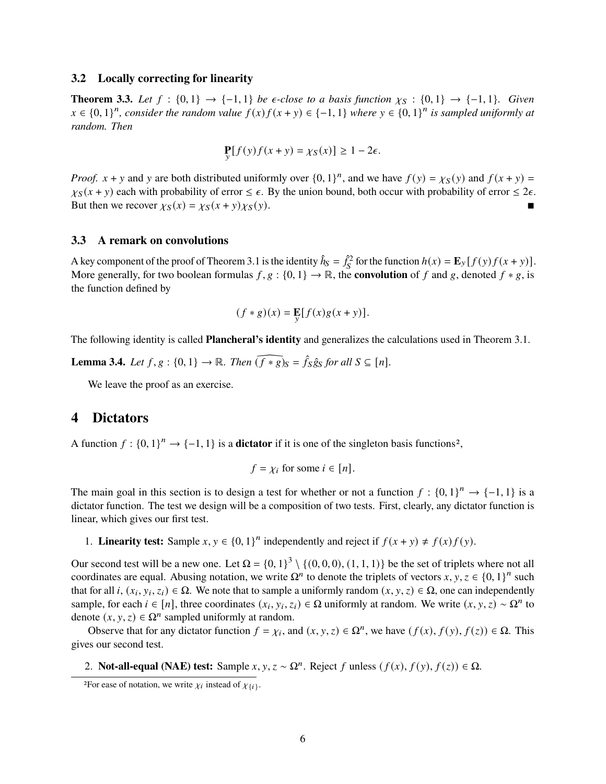### <span id="page-5-1"></span>**3.2 Locally correcting for linearity**

**Theorem 3.3.** *Let*  $f : \{0, 1\} \rightarrow \{-1, 1\}$  *be*  $\epsilon$ -close to a basis function  $\chi_{\mathcal{S}} : \{0, 1\} \rightarrow \{-1, 1\}$ *. Given*  $x \in \{0,1\}^n$ , consider the random value  $f(x) f(x + y) \in \{-1,1\}$  where  $y \in \{0,1\}^n$  is sampled uniformly at *random. Then*

$$
\Pr_{y}[f(y)f(x+y) = \chi_{S}(x)] \ge 1 - 2\epsilon.
$$

*Proof.*  $x + y$  and y are both distributed uniformly over  $\{0, 1\}^n$ , and we have  $f(y) = \chi_S(y)$  and  $f(x + y) =$  $\chi_S(x + y)$  each with probability of error  $\leq \epsilon$ . By the union bound, both occur with probability of error  $\leq 2\epsilon$ . But then we recover  $\chi_S(x) = \chi_S(x + y)\chi_S(y)$ .

### **3.3 A remark on convolutions**

A key component of the proof of [Theorem 3.1](#page-4-0) is the identity  $\hat{h}_S = \hat{f}_S^2$  for the function  $h(x) = \mathbf{E}_y[f(y)f(x+y)]$ . More generally, for two boolean formulas  $f, g : \{0, 1\} \to \mathbb{R}$ , the **convolution** of f and g, denoted  $f * g$ , is the function defined by

$$
(f * g)(x) = \mathop{\mathbb{E}}_{\mathcal{V}}[f(x)g(x+y)].
$$

The following identity is called **Plancheral's identity** and generalizes the calculations used in [Theorem 3.1.](#page-4-0)

**Lemma 3.4.** *Let*  $f, g: \{0, 1\} \to \mathbb{R}$ *. Then*  $(f * g)_S = \hat{f}_S \hat{g}_S$  for all  $S \subseteq [n]$ *.* 

We leave the proof as an exercise.

## <span id="page-5-0"></span>**4 Dictators**

A function  $f: \{0, 1\}^n \to \{-1, 1\}$  is a **dictator** if it is one of the singleton basis functions<sup>[2](#page-0-1)</sup>,

$$
f = \chi_i
$$
 for some  $i \in [n]$ .

The main goal in this section is to design a test for whether or not a function  $f: \{0,1\}^n \to \{-1,1\}$  is a dictator function. The test we design will be a composition of two tests. First, clearly, any dictator function is linear, which gives our first test.

1. **Linearity test:** Sample  $x, y \in \{0, 1\}^n$  independently and reject if  $f(x + y) \neq f(x)f(y)$ .

Our second test will be a new one. Let  $\Omega = \{0, 1\}^3 \setminus \{(0, 0, 0), (1, 1, 1)\}$  be the set of triplets where not all coordinates are equal. Abusing notation, we write  $\Omega^n$  to denote the triplets of vectors  $x, y, z \in \{0, 1\}^n$  such that for all *i*,  $(x_i, y_i, z_i) \in \Omega$ . We note that to sample a uniformly random  $(x, y, z) \in \Omega$ , one can independently sample, for each  $i \in [n]$ , three coordinates  $(x_i, y_i, z_i) \in \Omega$  uniformly at random. We write  $(x, y, z) \sim \Omega^n$  to denote  $(x, y, z) \in \Omega^n$  sampled uniformly at random.

Observe that for any dictator function  $f = \chi_i$ , and  $(x, y, z) \in \Omega^n$ , we have  $(f(x), f(y), f(z)) \in \Omega$ . This gives our second test.

2. **Not-all-equal (NAE) test:** Sample  $x, y, z \sim \Omega^n$ . Reject f unless  $(f(x), f(y), f(z)) \in \Omega$ .

<sup>&</sup>lt;sup>2</sup>For ease of notation, we write  $\chi_i$  instead of  $\chi_{\{i\}}$ .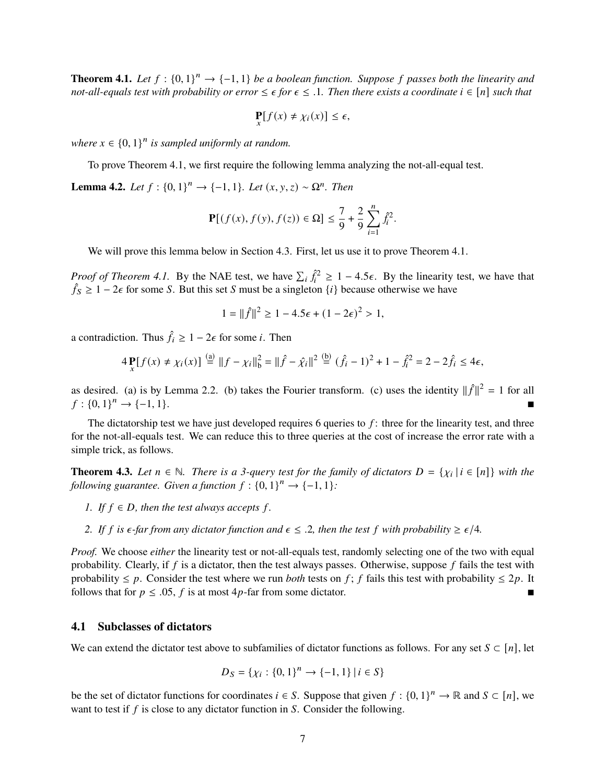<span id="page-6-0"></span>**Theorem 4.1.** Let  $f : \{0, 1\}^n \to \{-1, 1\}$  be a boolean function. Suppose f passes both the linearity and *not-all-equals test with probability or error*  $\leq \epsilon$  *for*  $\epsilon \leq 1$ *. Then there exists a coordinate*  $i \in [n]$  *such that* 

$$
\mathbf{P}[f(x) \neq \chi_i(x)] \leq \epsilon,
$$

where  $x \in \{0,1\}^n$  is sampled uniformly at random.

To prove [Theorem 4.1,](#page-6-0) we first require the following lemma analyzing the not-all-equal test.

<span id="page-6-1"></span>**Lemma 4.2.** *Let*  $f : \{0, 1\}^n \to \{-1, 1\}$ *. Let*  $(x, y, z) \sim \Omega^n$ *. Then* 

$$
\mathbf{P}[(f(x), f(y), f(z)) \in \Omega] \le \frac{7}{9} + \frac{2}{9} \sum_{i=1}^{n} \hat{f}_i^2.
$$

We will prove this lemma below in [Section 4.3.](#page-7-0) First, let us use it to prove [Theorem 4.1.](#page-6-0)

*Proof of [Theorem 4.1.](#page-6-0)* By the NAE test, we have  $\sum_i \hat{f}_i^2 \ge 1 - 4.5\epsilon$ . By the linearity test, we have that  $\hat{f}_s \geq 1 - 2\epsilon$  for some S. But this set S must be a singleton  $\{i\}$  because otherwise we have

$$
1 = ||\hat{f}||^2 \ge 1 - 4.5\epsilon + (1 - 2\epsilon)^2 > 1,
$$

a contradiction. Thus  $\hat{f}_i \geq 1 - 2\epsilon$  for some *i*. Then

$$
4\mathbf{P}{f(x) \neq \chi_i(x)} \stackrel{\text{(a)}}{=} \|f - \chi_i\|_{b}^{2} = \|\hat{f} - \hat{\chi_i}\|^2 \stackrel{\text{(b)}}{=} (\hat{f}_i - 1)^2 + 1 - \hat{f}_i^2 = 2 - 2\hat{f}_i \leq 4\epsilon,
$$

as desired. (a) is by [Lemma 2.2.](#page-2-1) (b) takes the Fourier transform. (c) uses the identity  $||\hat{f}||^2 = 1$  for all  $f: \{0,1\}^n \rightarrow \{-1,1\}.$  $\longrightarrow$  {-1, 1}.

The dictatorship test we have just developed requires 6 queries to  $f$ : three for the linearity test, and three for the not-all-equals test. We can reduce this to three queries at the cost of increase the error rate with a simple trick, as follows.

**Theorem 4.3.** *Let*  $n \in \mathbb{N}$ . *There is a 3-query test for the family of dictators*  $D = \{ \chi_i | i \in [n] \}$  *with the following guarantee. Given a function*  $f : \{0, 1\}^n \rightarrow \{-1, 1\}$ :

- *1. If*  $f \in D$ *, then the test always accepts*  $f$ *.*
- *2.* If f is  $\epsilon$ -far from any dictator function and  $\epsilon \leq 0.2$ , then the test f with probability  $\geq \epsilon/4$ .

*Proof.* We choose *either* the linearity test or not-all-equals test, randomly selecting one of the two with equal probability. Clearly, if  $f$  is a dictator, then the test always passes. Otherwise, suppose  $f$  fails the test with probability  $\leq p$ . Consider the test where we run *both* tests on f; f fails this test with probability  $\leq 2p$ . It follows that for  $p \leq 0.05$ , f is at most 4p-far from some dictator.

#### **4.1 Subclasses of dictators**

We can extend the dictator test above to subfamilies of dictator functions as follows. For any set  $S \subset [n]$ , let

$$
D_S = \{ \chi_i : \{0, 1\}^n \to \{-1, 1\} \mid i \in S \}
$$

be the set of dictator functions for coordinates  $i \in S$ . Suppose that given  $f : \{0,1\}^n \to \mathbb{R}$  and  $S \subset [n]$ , we want to test if  $f$  is close to any dictator function in  $S$ . Consider the following.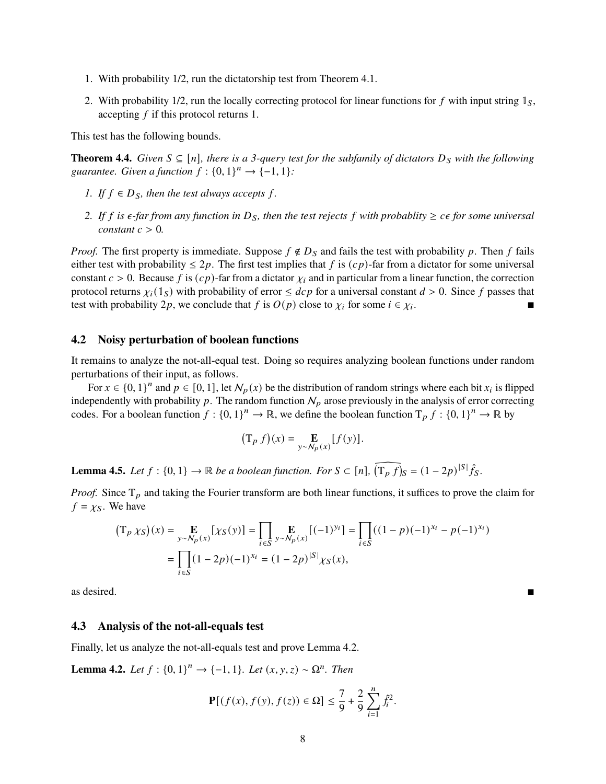- 1. With probability 1/2, run the dictatorship test from [Theorem 4.1.](#page-6-0)
- 2. With probability 1/2, run the locally correcting protocol for linear functions for f with input string  $\mathbb{I}_S$ , accepting  $f$  if this protocol returns 1.

This test has the following bounds.

<span id="page-7-2"></span>**Theorem 4.4.** *Given*  $S ⊆ [n]$ *, there is a 3-query test for the subfamily of dictators*  $D_S$  *with the following* guarantee. Given a function  $f: \{0,1\}^n \rightarrow \{-1,1\}$ :

- *1.* If  $f \in D_S$ , then the test always accepts f.
- *2.* If f is  $\epsilon$ -far from any function in  $D_s$ , then the test rejects f with probablity  $\geq$   $\epsilon \epsilon$  for some universal *constant*  $c > 0$ *.*

*Proof.* The first property is immediate. Suppose  $f \notin D<sub>S</sub>$  and fails the test with probability p. Then f fails either test with probability  $\leq 2p$ . The first test implies that f is  $(cp)$ -far from a dictator for some universal constant  $c > 0$ . Because f is  $(cp)$ -far from a dictator  $\chi_i$  and in particular from a linear function, the correction protocol returns  $\chi_i(\mathbb{1}_S)$  with probability of error  $\leq dcp$  for a universal constant  $d > 0$ . Since f passes that test with probability 2p, we conclude that f is  $O(p)$  close to  $\chi_i$  for some  $i \in \chi_i$ . .

#### **4.2 Noisy perturbation of boolean functions**

It remains to analyze the not-all-equal test. Doing so requires analyzing boolean functions under random perturbations of their input, as follows.

For  $x \in \{0, 1\}^n$  and  $p \in [0, 1]$ , let  $\mathcal{N}_p(x)$  be the distribution of random strings where each bit  $x_i$  is flipped independently with probability  $p$ . The random function  $N_p$  arose previously in the analysis of error correcting codes. For a boolean function  $f: \{0,1\}^n \to \mathbb{R}$ , we define the boolean function  $T_p f: \{0,1\}^n \to \mathbb{R}$  by

$$
(\mathrm{T}_p f)(x) = \mathop{\mathbf{E}}_{y \sim N_p(x)} [f(y)].
$$

<span id="page-7-1"></span>**Lemma 4.5.** *Let*  $f : \{0, 1\} \to \mathbb{R}$  *be a boolean function. For*  $S \subset [n]$ ,  $\widehat{(T_p f)_S} = (1 - 2p)^{|S|} \widehat{f}_S$ .

*Proof.* Since  $T_p$  and taking the Fourier transform are both linear functions, it suffices to prove the claim for  $f = \chi_S$ . We have

$$
\begin{aligned} \left(\mathbf{T}_p \chi_S\right)(x) &= \mathop{\mathbf{E}}_{y \sim N_p(x)} \left[ \chi_S(y) \right] = \prod_{i \in S} \mathop{\mathbf{E}}_{y \sim N_p(x)} \left[ (-1)^{y_i} \right] = \prod_{i \in S} \left( (1 - p)(-1)^{x_i} - p(-1)^{x_i} \right) \\ &= \prod_{i \in S} (1 - 2p)(-1)^{x_i} = (1 - 2p)^{|S|} \chi_S(x), \end{aligned}
$$

as desired.

## <span id="page-7-0"></span>**4.3 Analysis of the not-all-equals test**

Finally, let us analyze the not-all-equals test and prove [Lemma 4.2.](#page-6-1)

**Lemma 4.2.** *Let*  $f : \{0, 1\}^n \to \{-1, 1\}$ *. Let*  $(x, y, z) \sim \Omega^n$ *. Then* 

$$
\mathbf{P}[(f(x), f(y), f(z)) \in \Omega] \le \frac{7}{9} + \frac{2}{9} \sum_{i=1}^{n} \hat{f}_i^2.
$$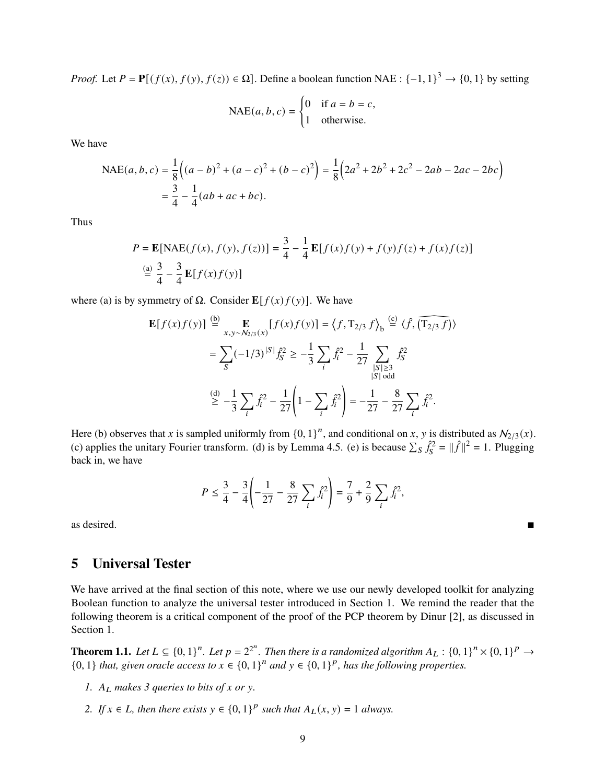*Proof.* Let  $P = \mathbf{P}[(f(x), f(y), f(z)) \in \Omega]$ . Define a boolean function NAE :  $\{-1, 1\}^3 \to \{0, 1\}$  by setting

$$
\text{NAE}(a, b, c) = \begin{cases} 0 & \text{if } a = b = c, \\ 1 & \text{otherwise.} \end{cases}
$$

We have

$$
\text{NAE}(a, b, c) = \frac{1}{8} \Big( (a - b)^2 + (a - c)^2 + (b - c)^2 \Big) = \frac{1}{8} \Big( 2a^2 + 2b^2 + 2c^2 - 2ab - 2ac - 2bc \Big)
$$
  
=  $\frac{3}{4} - \frac{1}{4} (ab + ac + bc).$ 

Thus

$$
P = \mathbf{E}[\text{NAE}(f(x), f(y), f(z))] = \frac{3}{4} - \frac{1}{4} \mathbf{E}[f(x)f(y) + f(y)f(z) + f(x)f(z)]
$$
  

$$
\stackrel{\text{(a)}}{=} \frac{3}{4} - \frac{3}{4} \mathbf{E}[f(x)f(y)]
$$

where (a) is by symmetry of  $\Omega$ . Consider  $\mathbf{E}[f(x)f(y)]$ . We have

$$
\mathbf{E}[f(x)f(y)] \stackrel{\text{(b)}}{=} \mathbf{E}_{x,y \sim N_{2/3}(x)} [f(x)f(y)] = \langle f, T_{2/3} f \rangle_{b} \stackrel{\text{(c)}}{=} \langle f, \overline{(T_{2/3} f)} \rangle
$$

$$
= \sum_{S} (-1/3)^{|S|} f_{S}^{2} \ge -\frac{1}{3} \sum_{i} \hat{f}_{i}^{2} - \frac{1}{27} \sum_{\substack{|S| \ge 3 \\ |S| \text{ odd}}} \hat{f}_{S}^{2}
$$

$$
\stackrel{\text{(d)}}{\ge} -\frac{1}{3} \sum_{i} \hat{f}_{i}^{2} - \frac{1}{27} \left( 1 - \sum_{i} \hat{f}_{i}^{2} \right) = -\frac{1}{27} - \frac{8}{27} \sum_{i} \hat{f}_{i}^{2}.
$$

Here (b) observes that x is sampled uniformly from  $\{0, 1\}^n$ , and conditional on x, y is distributed as  $\mathcal{N}_{2/3}(x)$ . (c) applies the unitary Fourier transform. (d) is by [Lemma 4.5.](#page-7-1) (e) is because  $\sum_{S} \hat{f}_{S}^2 = ||\hat{f}||^2 = 1$ . Plugging back in, we have

$$
P \le \frac{3}{4} - \frac{3}{4} \left( -\frac{1}{27} - \frac{8}{27} \sum_{i} \hat{f}_{i}^{2} \right) = \frac{7}{9} + \frac{2}{9} \sum_{i} \hat{f}_{i}^{2},
$$

as desired.

## **5 Universal Tester**

We have arrived at the final section of this note, where we use our newly developed toolkit for analyzing Boolean function to analyze the universal tester introduced in [Section 1.](#page-0-2) We remind the reader that the following theorem is a critical component of the proof of the PCP theorem by Dinur [\[2\]](#page-10-2), as discussed in [Section 1.](#page-0-2)

**Theorem 1.1.** Let  $L \subseteq \{0,1\}^n$ . Let  $p = 2^{2^n}$ . Then there is a randomized algorithm  $A_L : \{0,1\}^n \times \{0,1\}^p \to$  $\{0, 1\}$  that, given oracle access to  $x \in \{0, 1\}^n$  and  $y \in \{0, 1\}^p$ , has the following properties.

- *1.*  $A_I$  makes 3 queries to bits of x or y.
- 2. If  $x \in L$ , then there exists  $y \in \{0, 1\}^p$  such that  $A_L(x, y) = 1$  always.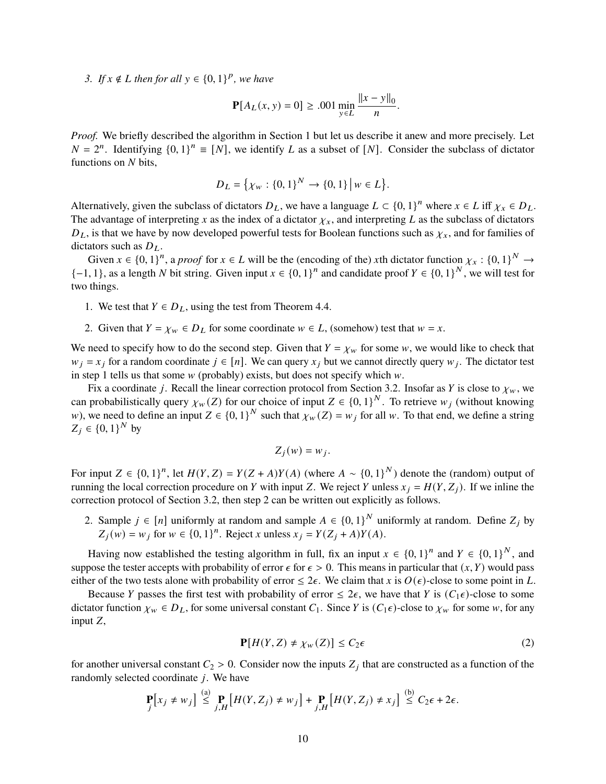3. If  $x \notin L$  then for all  $y \in \{0, 1\}^p$ , we have

$$
\mathbf{P}[A_L(x, y) = 0] \ge .001 \min_{y \in L} \frac{\|x - y\|_0}{n}.
$$

*Proof.* We briefly described the algorithm in [Section 1](#page-0-2) but let us describe it anew and more precisely. Let  $N = 2^n$ . Identifying  $\{0, 1\}^n \equiv [N]$ , we identify L as a subset of [N]. Consider the subclass of dictator functions on  $N$  bits,

$$
D_L = \{ \chi_w : \{0, 1\}^N \to \{0, 1\} \, \big| \, w \in L \}.
$$

Alternatively, given the subclass of dictators  $D_L$ , we have a language  $L \subset \{0, 1\}^n$  where  $x \in L$  iff  $\chi_x \in D_L$ . The advantage of interpreting x as the index of a dictator  $\chi_x$ , and interpreting L as the subclass of dictators  $D_L$ , is that we have by now developed powerful tests for Boolean functions such as  $\chi_x$ , and for families of dictators such as  $D_L$ .

Given  $x \in \{0, 1\}^n$ , a *proof* for  $x \in L$  will be the (encoding of the) xth dictator function  $\chi_x : \{0, 1\}^N \to$  $\{-1, 1\}$ , as a length N bit string. Given input  $x \in \{0, 1\}^n$  and candidate proof  $Y \in \{0, 1\}^N$ , we will test for two things.

- 1. We test that  $Y \in D_L$ , using the test from [Theorem 4.4.](#page-7-2)
- <span id="page-9-0"></span>2. Given that  $Y = \chi_w \in D_L$  for some coordinate  $w \in L$ , (somehow) test that  $w = x$ .

We need to specify how to do the second step. Given that  $Y = \chi_w$  for some w, we would like to check that  $w_i = x_i$  for a random coordinate  $j \in [n]$ . We can query  $x_i$  but we cannot directly query  $w_i$ . The dictator test in step 1 tells us that some  $w$  (probably) exists, but does not specify which  $w$ .

Fix a coordinate j. Recall the linear correction protocol from [Section 3.2.](#page-5-1) Insofar as Y is close to  $\chi_w$ , we can probabilistically query  $\chi_w(Z)$  for our choice of input  $Z \in \{0,1\}^N$ . To retrieve  $w_i$  (without knowing w), we need to define an input  $Z \in \{0, 1\}^N$  such that  $\chi_w(Z) = w_j$  for all w. To that end, we define a string  $Z_i \in \{0, 1\}^N$  by

$$
Z_i(w) = w_i.
$$

For input  $Z \in \{0,1\}^n$ , let  $H(Y, Z) = Y(Z + A)Y(A)$  (where  $A \sim \{0,1\}^N$ ) denote the (random) output of running the local correction procedure on Y with input Z. We reject Y unless  $x_i = H(Y, Z_i)$ . If we inline the correction protocol of [Section 3.2,](#page-5-1) then step 2 can be written out explicitly as follows.

2. Sample  $j \in [n]$  uniformly at random and sample  $A \in \{0,1\}^N$  uniformly at random. Define  $Z_j$  by  $Z_i(w) = w_i$  for  $w \in \{0, 1\}^n$ . Reject x unless  $x_i = Y(Z_i + A)Y(A)$ .

Having now established the testing algorithm in full, fix an input  $x \in \{0,1\}^n$  and  $Y \in \{0,1\}^N$ , and suppose the tester accepts with probability of error  $\epsilon$  for  $\epsilon > 0$ . This means in particular that  $(x, Y)$  would pass either of the two tests alone with probability of error  $\leq 2\epsilon$ . We claim that x is  $O(\epsilon)$ -close to some point in L.

Because Y passes the first test with probability of error  $\leq 2\epsilon$ , we have that Y is  $(C_1\epsilon)$ -close to some dictator function  $\chi_w \in D_L$ , for some universal constant  $C_1$ . Since Y is  $(C_1 \epsilon)$ -close to  $\chi_w$  for some w, for any input  $Z$ ,

$$
\mathbf{P}[H(Y, Z) \neq \chi_w(Z)] \le C_2 \epsilon \tag{2}
$$

for another universal constant  $C_2 > 0$ . Consider now the inputs  $Z_i$  that are constructed as a function of the randomly selected coordinate  $j$ . We have

$$
\mathbf{P}_j[x_j \neq w_j] \stackrel{\text{(a)}}{\leq} \mathbf{P}_j[H(Y, Z_j) \neq w_j] + \mathbf{P}_{j,H}[H(Y, Z_j) \neq x_j] \stackrel{\text{(b)}}{\leq} C_2 \epsilon + 2\epsilon.
$$